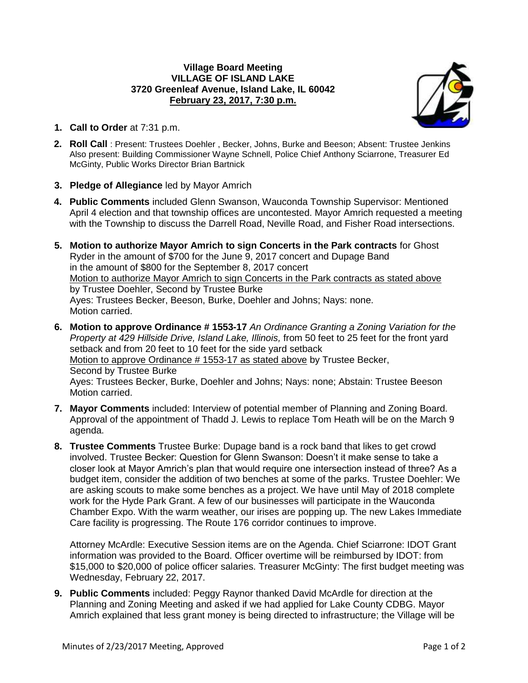## **Village Board Meeting VILLAGE OF ISLAND LAKE 3720 Greenleaf Avenue, Island Lake, IL 60042 February 23, 2017, 7:30 p.m.**



- **1. Call to Order** at 7:31 p.m.
- **2. Roll Call** : Present: Trustees Doehler , Becker, Johns, Burke and Beeson; Absent: Trustee Jenkins Also present: Building Commissioner Wayne Schnell, Police Chief Anthony Sciarrone, Treasurer Ed McGinty, Public Works Director Brian Bartnick
- **3. Pledge of Allegiance** led by Mayor Amrich
- **4. Public Comments** included Glenn Swanson, Wauconda Township Supervisor: Mentioned April 4 election and that township offices are uncontested. Mayor Amrich requested a meeting with the Township to discuss the Darrell Road, Neville Road, and Fisher Road intersections.
- **5. Motion to authorize Mayor Amrich to sign Concerts in the Park contracts** for Ghost Ryder in the amount of \$700 for the June 9, 2017 concert and Dupage Band in the amount of \$800 for the September 8, 2017 concert Motion to authorize Mayor Amrich to sign Concerts in the Park contracts as stated above by Trustee Doehler, Second by Trustee Burke Ayes: Trustees Becker, Beeson, Burke, Doehler and Johns; Nays: none. Motion carried.
- **6. Motion to approve Ordinance # 1553-17** *An Ordinance Granting a Zoning Variation for the Property at 429 Hillside Drive, Island Lake, Illinois,* from 50 feet to 25 feet for the front yard setback and from 20 feet to 10 feet for the side yard setback Motion to approve Ordinance # 1553-17 as stated above by Trustee Becker, Second by Trustee Burke Ayes: Trustees Becker, Burke, Doehler and Johns; Nays: none; Abstain: Trustee Beeson Motion carried.
- **7. Mayor Comments** included: Interview of potential member of Planning and Zoning Board. Approval of the appointment of Thadd J. Lewis to replace Tom Heath will be on the March 9 agenda.
- **8. Trustee Comments** Trustee Burke: Dupage band is a rock band that likes to get crowd involved. Trustee Becker: Question for Glenn Swanson: Doesn't it make sense to take a closer look at Mayor Amrich's plan that would require one intersection instead of three? As a budget item, consider the addition of two benches at some of the parks. Trustee Doehler: We are asking scouts to make some benches as a project. We have until May of 2018 complete work for the Hyde Park Grant. A few of our businesses will participate in the Wauconda Chamber Expo. With the warm weather, our irises are popping up. The new Lakes Immediate Care facility is progressing. The Route 176 corridor continues to improve.

Attorney McArdle: Executive Session items are on the Agenda. Chief Sciarrone: IDOT Grant information was provided to the Board. Officer overtime will be reimbursed by IDOT: from \$15,000 to \$20,000 of police officer salaries. Treasurer McGinty: The first budget meeting was Wednesday, February 22, 2017.

**9. Public Comments** included: Peggy Raynor thanked David McArdle for direction at the Planning and Zoning Meeting and asked if we had applied for Lake County CDBG. Mayor Amrich explained that less grant money is being directed to infrastructure; the Village will be